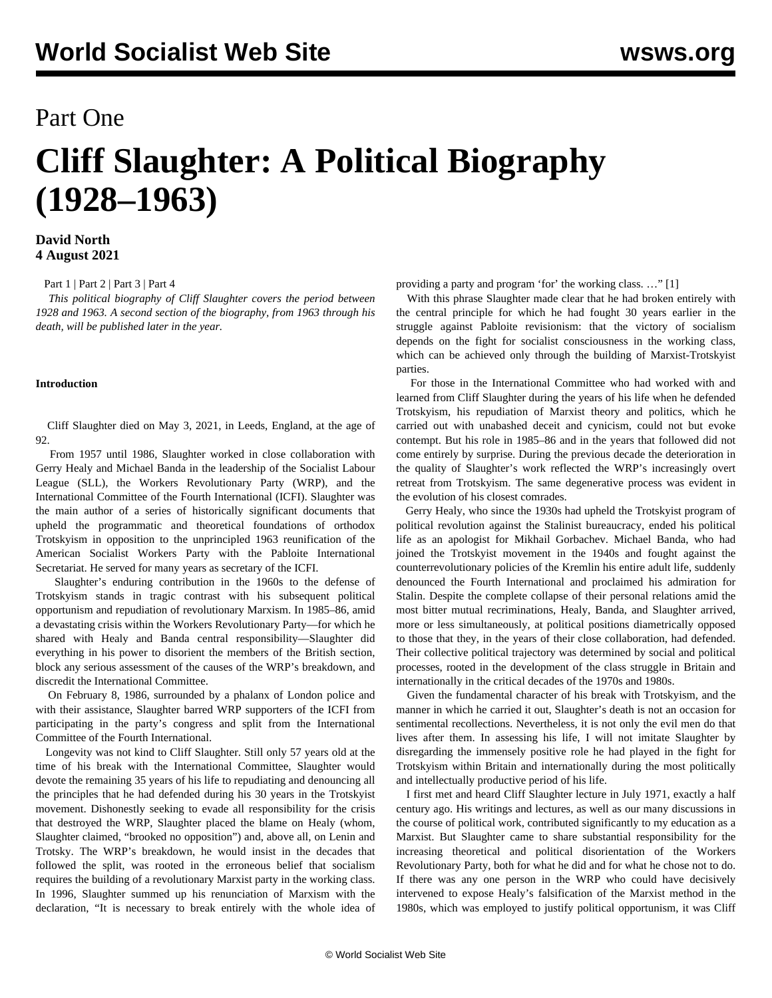## Part One

# **Cliff Slaughter: A Political Biography (1928–1963)**

#### **David North 4 August 2021**

#### [Part 1](/en/articles/2021/08/05/slau-a05.html) | [Part 2](/en/articles/2021/08/06/sla2-a06.html) | [Part 3](/en/articles/2021/08/07/sla3-a07.html) | [Part 4](/en/articles/2021/08/09/sla4-a09.html)

 *This political biography of Cliff Slaughter covers the period between 1928 and 1963. A second section of the biography, from 1963 through his death, will be published later in the year.*

#### **Introduction**

 Cliff Slaughter died on May 3, 2021, in Leeds, England, at the age of 92.

 From 1957 until 1986, Slaughter worked in close collaboration with Gerry Healy and Michael Banda in the leadership of the Socialist Labour League (SLL), the Workers Revolutionary Party (WRP), and the International Committee of the Fourth International (ICFI). Slaughter was the main author of a series of historically significant documents that upheld the programmatic and theoretical foundations of orthodox Trotskyism in opposition to the unprincipled 1963 reunification of the American Socialist Workers Party with the Pabloite International Secretariat. He served for many years as secretary of the ICFI.

 Slaughter's enduring contribution in the 1960s to the defense of Trotskyism stands in tragic contrast with his subsequent political opportunism and repudiation of revolutionary Marxism. In 1985–86, amid a devastating crisis within the Workers Revolutionary Party—for which he shared with Healy and Banda central responsibility—Slaughter did everything in his power to disorient the members of the British section, block any serious assessment of the causes of the WRP's breakdown, and discredit the International Committee.

 On February 8, 1986, surrounded by a phalanx of London police and with their assistance, Slaughter barred WRP supporters of the ICFI from participating in the party's congress and split from the International Committee of the Fourth International.

 Longevity was not kind to Cliff Slaughter. Still only 57 years old at the time of his break with the International Committee, Slaughter would devote the remaining 35 years of his life to repudiating and denouncing all the principles that he had defended during his 30 years in the Trotskyist movement. Dishonestly seeking to evade all responsibility for the crisis that destroyed the WRP, Slaughter placed the blame on Healy (whom, Slaughter claimed, "brooked no opposition") and, above all, on Lenin and Trotsky. The WRP's breakdown, he would insist in the decades that followed the split, was rooted in the erroneous belief that socialism requires the building of a revolutionary Marxist party in the working class. In 1996, Slaughter summed up his renunciation of Marxism with the declaration, "It is necessary to break entirely with the whole idea of providing a party and program 'for' the working class. …" [1]

 With this phrase Slaughter made clear that he had broken entirely with the central principle for which he had fought 30 years earlier in the struggle against Pabloite revisionism: that the victory of socialism depends on the fight for socialist consciousness in the working class, which can be achieved only through the building of Marxist-Trotskyist parties.

 For those in the International Committee who had worked with and learned from Cliff Slaughter during the years of his life when he defended Trotskyism, his repudiation of Marxist theory and politics, which he carried out with unabashed deceit and cynicism, could not but evoke contempt. But his role in 1985–86 and in the years that followed did not come entirely by surprise. During the previous decade the deterioration in the quality of Slaughter's work reflected the WRP's increasingly overt retreat from Trotskyism. The same degenerative process was evident in the evolution of his closest comrades.

 Gerry Healy, who since the 1930s had upheld the Trotskyist program of political revolution against the Stalinist bureaucracy, ended his political life as an apologist for Mikhail Gorbachev. Michael Banda, who had joined the Trotskyist movement in the 1940s and fought against the counterrevolutionary policies of the Kremlin his entire adult life, suddenly denounced the Fourth International and proclaimed his admiration for Stalin. Despite the complete collapse of their personal relations amid the most bitter mutual recriminations, Healy, Banda, and Slaughter arrived, more or less simultaneously, at political positions diametrically opposed to those that they, in the years of their close collaboration, had defended. Their collective political trajectory was determined by social and political processes, rooted in the development of the class struggle in Britain and internationally in the critical decades of the 1970s and 1980s.

 Given the fundamental character of his break with Trotskyism, and the manner in which he carried it out, Slaughter's death is not an occasion for sentimental recollections. Nevertheless, it is not only the evil men do that lives after them. In assessing his life, I will not imitate Slaughter by disregarding the immensely positive role he had played in the fight for Trotskyism within Britain and internationally during the most politically and intellectually productive period of his life.

 I first met and heard Cliff Slaughter lecture in July 1971, exactly a half century ago. His writings and lectures, as well as our many discussions in the course of political work, contributed significantly to my education as a Marxist. But Slaughter came to share substantial responsibility for the increasing theoretical and political disorientation of the Workers Revolutionary Party, both for what he did and for what he chose not to do. If there was any one person in the WRP who could have decisively intervened to expose Healy's falsification of the Marxist method in the 1980s, which was employed to justify political opportunism, it was Cliff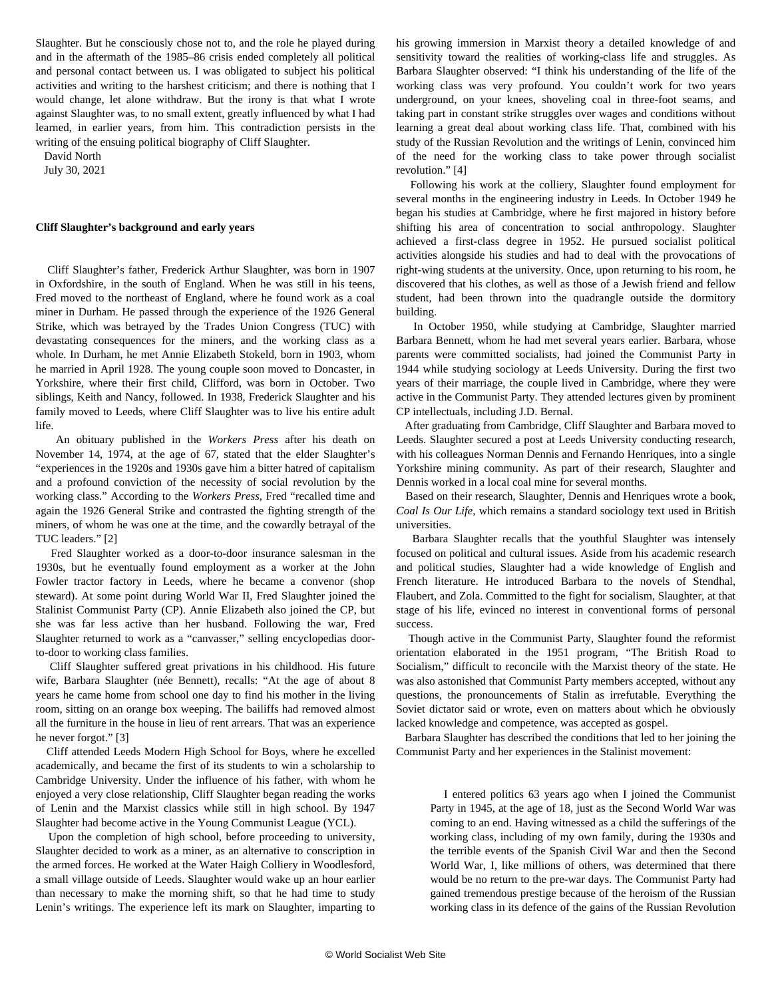Slaughter. But he consciously chose not to, and the role he played during and in the aftermath of the 1985–86 crisis ended completely all political and personal contact between us. I was obligated to subject his political activities and writing to the harshest criticism; and there is nothing that I would change, let alone withdraw. But the irony is that what I wrote against Slaughter was, to no small extent, greatly influenced by what I had learned, in earlier years, from him. This contradiction persists in the writing of the ensuing political biography of Cliff Slaughter.

David North

July 30, 2021

#### **Cliff Slaughter's background and early years**

 Cliff Slaughter's father, Frederick Arthur Slaughter, was born in 1907 in Oxfordshire, in the south of England. When he was still in his teens, Fred moved to the northeast of England, where he found work as a coal miner in Durham. He passed through the experience of the 1926 General Strike, which was betrayed by the Trades Union Congress (TUC) with devastating consequences for the miners, and the working class as a whole. In Durham, he met Annie Elizabeth Stokeld, born in 1903, whom he married in April 1928. The young couple soon moved to Doncaster, in Yorkshire, where their first child, Clifford, was born in October. Two siblings, Keith and Nancy, followed. In 1938, Frederick Slaughter and his family moved to Leeds, where Cliff Slaughter was to live his entire adult life.

 An obituary published in the *Workers Press* after his death on November 14, 1974, at the age of 67, stated that the elder Slaughter's "experiences in the 1920s and 1930s gave him a bitter hatred of capitalism and a profound conviction of the necessity of social revolution by the working class." According to the *Workers Press,* Fred "recalled time and again the 1926 General Strike and contrasted the fighting strength of the miners, of whom he was one at the time, and the cowardly betrayal of the TUC leaders." [2]

 Fred Slaughter worked as a door-to-door insurance salesman in the 1930s, but he eventually found employment as a worker at the John Fowler tractor factory in Leeds, where he became a convenor (shop steward). At some point during World War II, Fred Slaughter joined the Stalinist Communist Party (CP). Annie Elizabeth also joined the CP, but she was far less active than her husband. Following the war, Fred Slaughter returned to work as a "canvasser," selling encyclopedias doorto-door to working class families.

 Cliff Slaughter suffered great privations in his childhood. His future wife, Barbara Slaughter (née Bennett), recalls: "At the age of about 8 years he came home from school one day to find his mother in the living room, sitting on an orange box weeping. The bailiffs had removed almost all the furniture in the house in lieu of rent arrears. That was an experience he never forgot." [3]

 Cliff attended Leeds Modern High School for Boys, where he excelled academically, and became the first of its students to win a scholarship to Cambridge University. Under the influence of his father, with whom he enjoyed a very close relationship, Cliff Slaughter began reading the works of Lenin and the Marxist classics while still in high school. By 1947 Slaughter had become active in the Young Communist League (YCL).

 Upon the completion of high school, before proceeding to university, Slaughter decided to work as a miner, as an alternative to conscription in the armed forces. He worked at the Water Haigh Colliery in Woodlesford, a small village outside of Leeds. Slaughter would wake up an hour earlier than necessary to make the morning shift, so that he had time to study Lenin's writings. The experience left its mark on Slaughter, imparting to

his growing immersion in Marxist theory a detailed knowledge of and sensitivity toward the realities of working-class life and struggles. As Barbara Slaughter observed: "I think his understanding of the life of the working class was very profound. You couldn't work for two years underground, on your knees, shoveling coal in three-foot seams, and taking part in constant strike struggles over wages and conditions without learning a great deal about working class life. That, combined with his study of the Russian Revolution and the writings of Lenin, convinced him of the need for the working class to take power through socialist revolution." [4]

 Following his work at the colliery, Slaughter found employment for several months in the engineering industry in Leeds. In October 1949 he began his studies at Cambridge, where he first majored in history before shifting his area of concentration to social anthropology. Slaughter achieved a first-class degree in 1952. He pursued socialist political activities alongside his studies and had to deal with the provocations of right-wing students at the university. Once, upon returning to his room, he discovered that his clothes, as well as those of a Jewish friend and fellow student, had been thrown into the quadrangle outside the dormitory building.

 In October 1950, while studying at Cambridge, Slaughter married Barbara Bennett, whom he had met several years earlier. Barbara, whose parents were committed socialists, had joined the Communist Party in 1944 while studying sociology at Leeds University. During the first two years of their marriage, the couple lived in Cambridge, where they were active in the Communist Party. They attended lectures given by prominent CP intellectuals, including J.D. Bernal.

 After graduating from Cambridge, Cliff Slaughter and Barbara moved to Leeds. Slaughter secured a post at Leeds University conducting research, with his colleagues Norman Dennis and Fernando Henriques, into a single Yorkshire mining community. As part of their research, Slaughter and Dennis worked in a local coal mine for several months.

 Based on their research, Slaughter, Dennis and Henriques wrote a book, *Coal Is Our Life*, which remains a standard sociology text used in British universities.

 Barbara Slaughter recalls that the youthful Slaughter was intensely focused on political and cultural issues. Aside from his academic research and political studies, Slaughter had a wide knowledge of English and French literature. He introduced Barbara to the novels of Stendhal, Flaubert, and Zola. Committed to the fight for socialism, Slaughter, at that stage of his life, evinced no interest in conventional forms of personal success.

 Though active in the Communist Party, Slaughter found the reformist orientation elaborated in the 1951 program, "The British Road to Socialism," difficult to reconcile with the Marxist theory of the state. He was also astonished that Communist Party members accepted, without any questions, the pronouncements of Stalin as irrefutable. Everything the Soviet dictator said or wrote, even on matters about which he obviously lacked knowledge and competence, was accepted as gospel.

 Barbara Slaughter has described the conditions that led to her joining the Communist Party and her experiences in the Stalinist movement:

 I entered politics 63 years ago when I joined the Communist Party in 1945, at the age of 18, just as the Second World War was coming to an end. Having witnessed as a child the sufferings of the working class, including of my own family, during the 1930s and the terrible events of the Spanish Civil War and then the Second World War, I, like millions of others, was determined that there would be no return to the pre-war days. The Communist Party had gained tremendous prestige because of the heroism of the Russian working class in its defence of the gains of the Russian Revolution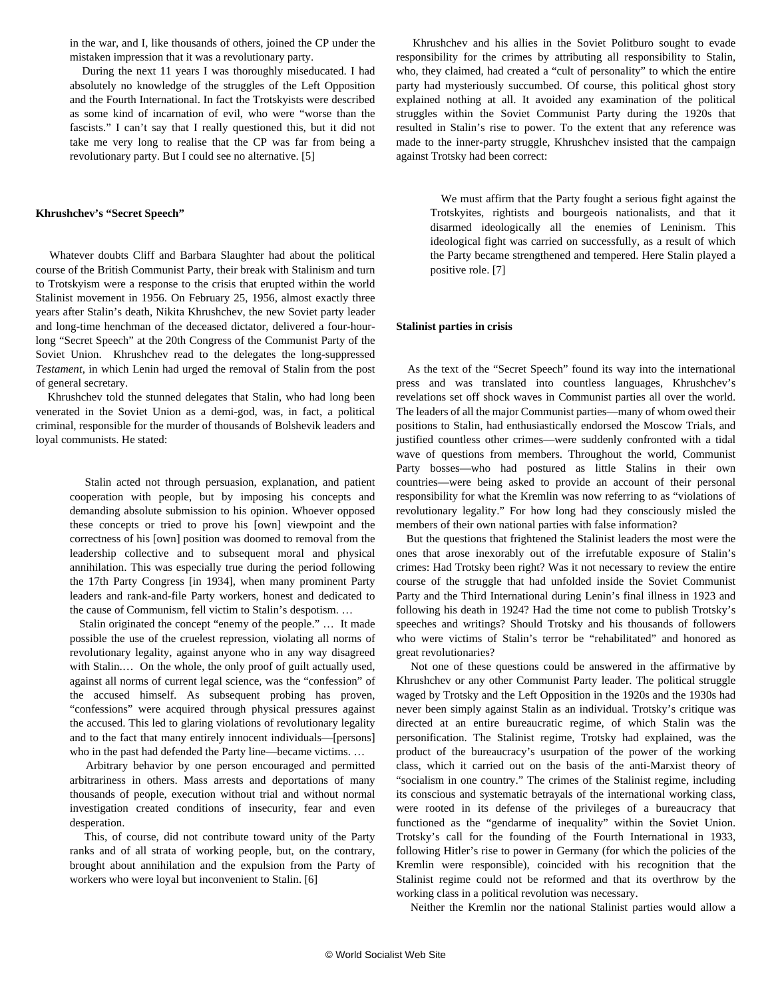in the war, and I, like thousands of others, joined the CP under the mistaken impression that it was a revolutionary party.

 During the next 11 years I was thoroughly miseducated. I had absolutely no knowledge of the struggles of the Left Opposition and the Fourth International. In fact the Trotskyists were described as some kind of incarnation of evil, who were "worse than the fascists." I can't say that I really questioned this, but it did not take me very long to realise that the CP was far from being a revolutionary party. But I could see no alternative. [5]

#### **Khrushchev's "Secret Speech"**

 Whatever doubts Cliff and Barbara Slaughter had about the political course of the British Communist Party, their break with Stalinism and turn to Trotskyism were a response to the crisis that erupted within the world Stalinist movement in 1956. On February 25, 1956, almost exactly three years after Stalin's death, Nikita Khrushchev, the new Soviet party leader and long-time henchman of the deceased dictator, delivered a four-hourlong "Secret Speech" at the 20th Congress of the Communist Party of the Soviet Union. Khrushchev read to the delegates the long-suppressed *Testament*, in which Lenin had urged the removal of Stalin from the post of general secretary.

 Khrushchev told the stunned delegates that Stalin, who had long been venerated in the Soviet Union as a demi-god, was, in fact, a political criminal, responsible for the murder of thousands of Bolshevik leaders and loyal communists. He stated:

 Stalin acted not through persuasion, explanation, and patient cooperation with people, but by imposing his concepts and demanding absolute submission to his opinion. Whoever opposed these concepts or tried to prove his [own] viewpoint and the correctness of his [own] position was doomed to removal from the leadership collective and to subsequent moral and physical annihilation. This was especially true during the period following the 17th Party Congress [in 1934], when many prominent Party leaders and rank-and-file Party workers, honest and dedicated to the cause of Communism, fell victim to Stalin's despotism. …

 Stalin originated the concept "enemy of the people." … It made possible the use of the cruelest repression, violating all norms of revolutionary legality, against anyone who in any way disagreed with Stalin.… On the whole, the only proof of guilt actually used, against all norms of current legal science, was the "confession" of the accused himself. As subsequent probing has proven, "confessions" were acquired through physical pressures against the accused. This led to glaring violations of revolutionary legality and to the fact that many entirely innocent individuals—[persons] who in the past had defended the Party line—became victims. ...

 Arbitrary behavior by one person encouraged and permitted arbitrariness in others. Mass arrests and deportations of many thousands of people, execution without trial and without normal investigation created conditions of insecurity, fear and even desperation.

 This, of course, did not contribute toward unity of the Party ranks and of all strata of working people, but, on the contrary, brought about annihilation and the expulsion from the Party of workers who were loyal but inconvenient to Stalin. [6]

 Khrushchev and his allies in the Soviet Politburo sought to evade responsibility for the crimes by attributing all responsibility to Stalin, who, they claimed, had created a "cult of personality" to which the entire party had mysteriously succumbed. Of course, this political ghost story explained nothing at all. It avoided any examination of the political struggles within the Soviet Communist Party during the 1920s that resulted in Stalin's rise to power. To the extent that any reference was made to the inner-party struggle, Khrushchev insisted that the campaign against Trotsky had been correct:

 We must affirm that the Party fought a serious fight against the Trotskyites, rightists and bourgeois nationalists, and that it disarmed ideologically all the enemies of Leninism. This ideological fight was carried on successfully, as a result of which the Party became strengthened and tempered. Here Stalin played a positive role. [7]

#### **Stalinist parties in crisis**

 As the text of the "Secret Speech" found its way into the international press and was translated into countless languages, Khrushchev's revelations set off shock waves in Communist parties all over the world. The leaders of all the major Communist parties—many of whom owed their positions to Stalin, had enthusiastically endorsed the Moscow Trials, and justified countless other crimes—were suddenly confronted with a tidal wave of questions from members. Throughout the world, Communist Party bosses—who had postured as little Stalins in their own countries—were being asked to provide an account of their personal responsibility for what the Kremlin was now referring to as "violations of revolutionary legality." For how long had they consciously misled the members of their own national parties with false information?

 But the questions that frightened the Stalinist leaders the most were the ones that arose inexorably out of the irrefutable exposure of Stalin's crimes: Had Trotsky been right? Was it not necessary to review the entire course of the struggle that had unfolded inside the Soviet Communist Party and the Third International during Lenin's final illness in 1923 and following his death in 1924? Had the time not come to publish Trotsky's speeches and writings? Should Trotsky and his thousands of followers who were victims of Stalin's terror be "rehabilitated" and honored as great revolutionaries?

 Not one of these questions could be answered in the affirmative by Khrushchev or any other Communist Party leader. The political struggle waged by Trotsky and the Left Opposition in the 1920s and the 1930s had never been simply against Stalin as an individual. Trotsky's critique was directed at an entire bureaucratic regime, of which Stalin was the personification. The Stalinist regime, Trotsky had explained, was the product of the bureaucracy's usurpation of the power of the working class, which it carried out on the basis of the anti-Marxist theory of "socialism in one country." The crimes of the Stalinist regime, including its conscious and systematic betrayals of the international working class, were rooted in its defense of the privileges of a bureaucracy that functioned as the "gendarme of inequality" within the Soviet Union. Trotsky's call for the founding of the Fourth International in 1933, following Hitler's rise to power in Germany (for which the policies of the Kremlin were responsible), coincided with his recognition that the Stalinist regime could not be reformed and that its overthrow by the working class in a political revolution was necessary.

Neither the Kremlin nor the national Stalinist parties would allow a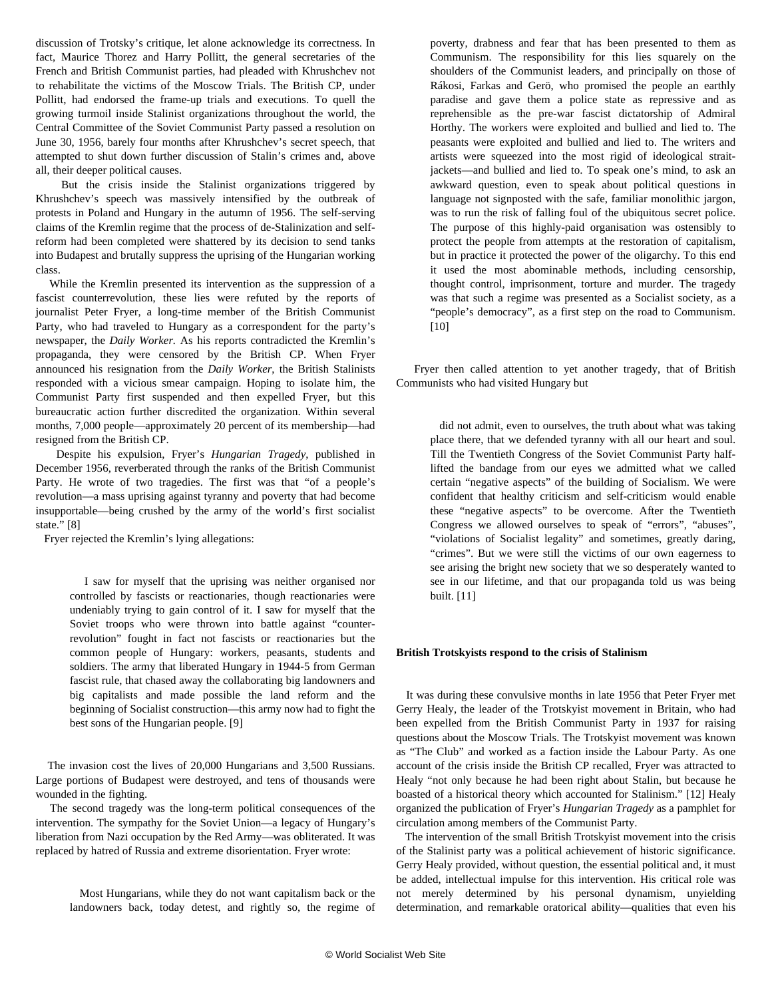discussion of Trotsky's critique, let alone acknowledge its correctness. In fact, Maurice Thorez and Harry Pollitt, the general secretaries of the French and British Communist parties, had pleaded with Khrushchev not to rehabilitate the victims of the Moscow Trials. The British CP, under Pollitt, had endorsed the frame-up trials and executions. To quell the growing turmoil inside Stalinist organizations throughout the world, the Central Committee of the Soviet Communist Party passed a resolution on June 30, 1956, barely four months after Khrushchev's secret speech, that attempted to shut down further discussion of Stalin's crimes and, above all, their deeper political causes.

 But the crisis inside the Stalinist organizations triggered by Khrushchev's speech was massively intensified by the outbreak of protests in Poland and Hungary in the autumn of 1956. The self-serving claims of the Kremlin regime that the process of de-Stalinization and selfreform had been completed were shattered by its decision to send tanks into Budapest and brutally suppress the uprising of the Hungarian working class.

 While the Kremlin presented its intervention as the suppression of a fascist counterrevolution, these lies were refuted by the reports of journalist Peter Fryer, a long-time member of the British Communist Party, who had traveled to Hungary as a correspondent for the party's newspaper, the *Daily Worker.* As his reports contradicted the Kremlin's propaganda, they were censored by the British CP. When Fryer announced his resignation from the *Daily Worker*, the British Stalinists responded with a vicious smear campaign. Hoping to isolate him, the Communist Party first suspended and then expelled Fryer, but this bureaucratic action further discredited the organization. Within several months, 7,000 people—approximately 20 percent of its membership—had resigned from the British CP.

 Despite his expulsion, Fryer's *Hungarian Tragedy*, published in December 1956, reverberated through the ranks of the British Communist Party. He wrote of two tragedies. The first was that "of a people's revolution—a mass uprising against tyranny and poverty that had become insupportable—being crushed by the army of the world's first socialist state." [8]

Fryer rejected the Kremlin's lying allegations:

 I saw for myself that the uprising was neither organised nor controlled by fascists or reactionaries, though reactionaries were undeniably trying to gain control of it. I saw for myself that the Soviet troops who were thrown into battle against "counterrevolution" fought in fact not fascists or reactionaries but the common people of Hungary: workers, peasants, students and soldiers. The army that liberated Hungary in 1944-5 from German fascist rule, that chased away the collaborating big landowners and big capitalists and made possible the land reform and the beginning of Socialist construction—this army now had to fight the best sons of the Hungarian people. [9]

 The invasion cost the lives of 20,000 Hungarians and 3,500 Russians. Large portions of Budapest were destroyed, and tens of thousands were wounded in the fighting.

 The second tragedy was the long-term political consequences of the intervention. The sympathy for the Soviet Union—a legacy of Hungary's liberation from Nazi occupation by the Red Army—was obliterated. It was replaced by hatred of Russia and extreme disorientation. Fryer wrote:

 Most Hungarians, while they do not want capitalism back or the landowners back, today detest, and rightly so, the regime of poverty, drabness and fear that has been presented to them as Communism. The responsibility for this lies squarely on the shoulders of the Communist leaders, and principally on those of Rákosi, Farkas and Gerö, who promised the people an earthly paradise and gave them a police state as repressive and as reprehensible as the pre-war fascist dictatorship of Admiral Horthy. The workers were exploited and bullied and lied to. The peasants were exploited and bullied and lied to. The writers and artists were squeezed into the most rigid of ideological straitjackets—and bullied and lied to. To speak one's mind, to ask an awkward question, even to speak about political questions in language not signposted with the safe, familiar monolithic jargon, was to run the risk of falling foul of the ubiquitous secret police. The purpose of this highly-paid organisation was ostensibly to protect the people from attempts at the restoration of capitalism, but in practice it protected the power of the oligarchy. To this end it used the most abominable methods, including censorship, thought control, imprisonment, torture and murder. The tragedy was that such a regime was presented as a Socialist society, as a "people's democracy", as a first step on the road to Communism. [10]

 Fryer then called attention to yet another tragedy, that of British Communists who had visited Hungary but

 did not admit, even to ourselves, the truth about what was taking place there, that we defended tyranny with all our heart and soul. Till the Twentieth Congress of the Soviet Communist Party halflifted the bandage from our eyes we admitted what we called certain "negative aspects" of the building of Socialism. We were confident that healthy criticism and self-criticism would enable these "negative aspects" to be overcome. After the Twentieth Congress we allowed ourselves to speak of "errors", "abuses", "violations of Socialist legality" and sometimes, greatly daring, "crimes". But we were still the victims of our own eagerness to see arising the bright new society that we so desperately wanted to see in our lifetime, and that our propaganda told us was being built. [11]

#### **British Trotskyists respond to the crisis of Stalinism**

 It was during these convulsive months in late 1956 that Peter Fryer met Gerry Healy, the leader of the Trotskyist movement in Britain, who had been expelled from the British Communist Party in 1937 for raising questions about the Moscow Trials. The Trotskyist movement was known as "The Club" and worked as a faction inside the Labour Party. As one account of the crisis inside the British CP recalled, Fryer was attracted to Healy "not only because he had been right about Stalin, but because he boasted of a historical theory which accounted for Stalinism." [12] Healy organized the publication of Fryer's *Hungarian Tragedy* as a pamphlet for circulation among members of the Communist Party.

 The intervention of the small British Trotskyist movement into the crisis of the Stalinist party was a political achievement of historic significance. Gerry Healy provided, without question, the essential political and, it must be added, intellectual impulse for this intervention. His critical role was not merely determined by his personal dynamism, unyielding determination, and remarkable oratorical ability—qualities that even his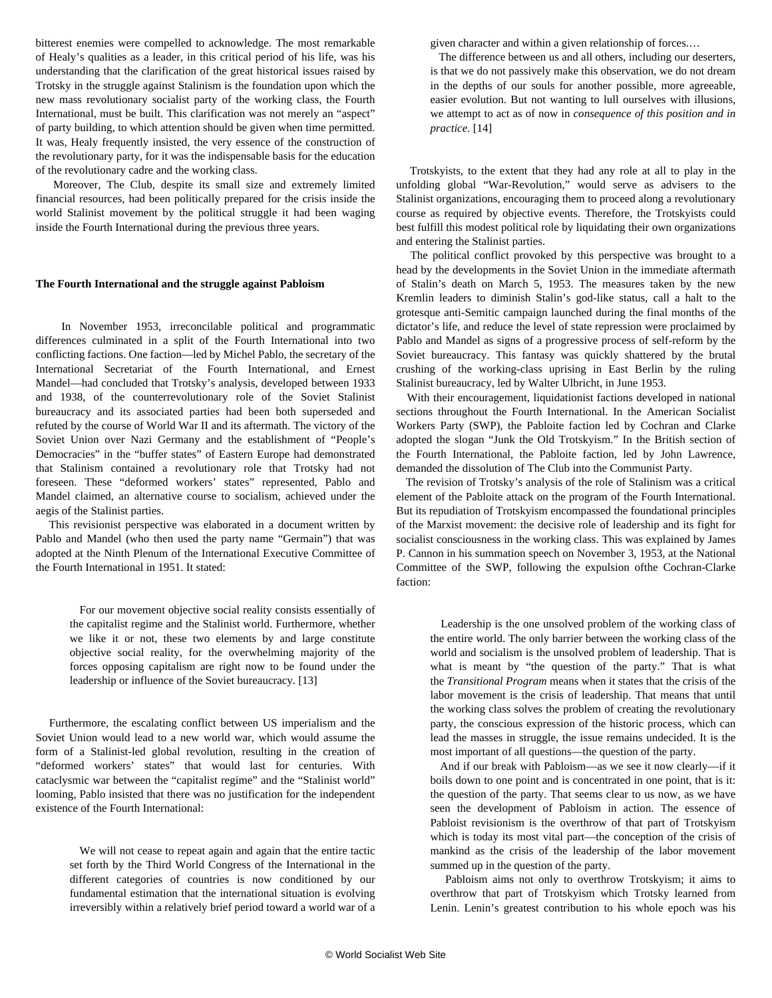bitterest enemies were compelled to acknowledge. The most remarkable of Healy's qualities as a leader, in this critical period of his life, was his understanding that the clarification of the great historical issues raised by Trotsky in the struggle against Stalinism is the foundation upon which the new mass revolutionary socialist party of the working class, the Fourth International, must be built. This clarification was not merely an "aspect" of party building, to which attention should be given when time permitted. It was, Healy frequently insisted, the very essence of the construction of the revolutionary party, for it was the indispensable basis for the education of the revolutionary cadre and the working class.

 Moreover, The Club, despite its small size and extremely limited financial resources, had been politically prepared for the crisis inside the world Stalinist movement by the political struggle it had been waging inside the Fourth International during the previous three years.

#### **The Fourth International and the struggle against Pabloism**

 In November 1953, irreconcilable political and programmatic differences culminated in a split of the Fourth International into two conflicting factions. One faction—led by Michel Pablo, the secretary of the International Secretariat of the Fourth International, and Ernest Mandel—had concluded that Trotsky's analysis, developed between 1933 and 1938, of the counterrevolutionary role of the Soviet Stalinist bureaucracy and its associated parties had been both superseded and refuted by the course of World War II and its aftermath. The victory of the Soviet Union over Nazi Germany and the establishment of "People's Democracies" in the "buffer states" of Eastern Europe had demonstrated that Stalinism contained a revolutionary role that Trotsky had not foreseen. These "deformed workers' states" represented, Pablo and Mandel claimed, an alternative course to socialism, achieved under the aegis of the Stalinist parties.

 This revisionist perspective was elaborated in a document written by Pablo and Mandel (who then used the party name "Germain") that was adopted at the Ninth Plenum of the International Executive Committee of the Fourth International in 1951. It stated:

 For our movement objective social reality consists essentially of the capitalist regime and the Stalinist world. Furthermore, whether we like it or not, these two elements by and large constitute objective social reality, for the overwhelming majority of the forces opposing capitalism are right now to be found under the leadership or influence of the Soviet bureaucracy. [13]

 Furthermore, the escalating conflict between US imperialism and the Soviet Union would lead to a new world war, which would assume the form of a Stalinist-led global revolution, resulting in the creation of "deformed workers' states" that would last for centuries. With cataclysmic war between the "capitalist regime" and the "Stalinist world" looming, Pablo insisted that there was no justification for the independent existence of the Fourth International:

 We will not cease to repeat again and again that the entire tactic set forth by the Third World Congress of the International in the different categories of countries is now conditioned by our fundamental estimation that the international situation is evolving irreversibly within a relatively brief period toward a world war of a given character and within a given relationship of forces.…

 The difference between us and all others, including our deserters, is that we do not passively make this observation, we do not dream in the depths of our souls for another possible, more agreeable, easier evolution. But not wanting to lull ourselves with illusions, we attempt to act as of now in *consequence of this position and in practice*. [14]

 Trotskyists, to the extent that they had any role at all to play in the unfolding global "War-Revolution," would serve as advisers to the Stalinist organizations, encouraging them to proceed along a revolutionary course as required by objective events. Therefore, the Trotskyists could best fulfill this modest political role by liquidating their own organizations and entering the Stalinist parties.

 The political conflict provoked by this perspective was brought to a head by the developments in the Soviet Union in the immediate aftermath of Stalin's death on March 5, 1953. The measures taken by the new Kremlin leaders to diminish Stalin's god-like status, call a halt to the grotesque anti-Semitic campaign launched during the final months of the dictator's life, and reduce the level of state repression were proclaimed by Pablo and Mandel as signs of a progressive process of self-reform by the Soviet bureaucracy. This fantasy was quickly shattered by the brutal crushing of the working-class uprising in East Berlin by the ruling Stalinist bureaucracy, led by Walter Ulbricht, in June 1953.

 With their encouragement, liquidationist factions developed in national sections throughout the Fourth International. In the American Socialist Workers Party (SWP), the Pabloite faction led by Cochran and Clarke adopted the slogan "Junk the Old Trotskyism." In the British section of the Fourth International, the Pabloite faction, led by John Lawrence, demanded the dissolution of The Club into the Communist Party.

 The revision of Trotsky's analysis of the role of Stalinism was a critical element of the Pabloite attack on the program of the Fourth International. But its repudiation of Trotskyism encompassed the foundational principles of the Marxist movement: the decisive role of leadership and its fight for socialist consciousness in the working class. This was explained by James P. Cannon in his summation speech on November 3, 1953, at the National Committee of the SWP, following the expulsion ofthe Cochran-Clarke faction:

 Leadership is the one unsolved problem of the working class of the entire world. The only barrier between the working class of the world and socialism is the unsolved problem of leadership. That is what is meant by "the question of the party." That is what the *Transitional Program* means when it states that the crisis of the labor movement is the crisis of leadership. That means that until the working class solves the problem of creating the revolutionary party, the conscious expression of the historic process, which can lead the masses in struggle, the issue remains undecided. It is the most important of all questions—the question of the party.

 And if our break with Pabloism—as we see it now clearly—if it boils down to one point and is concentrated in one point, that is it: the question of the party. That seems clear to us now, as we have seen the development of Pabloism in action. The essence of Pabloist revisionism is the overthrow of that part of Trotskyism which is today its most vital part—the conception of the crisis of mankind as the crisis of the leadership of the labor movement summed up in the question of the party.

 Pabloism aims not only to overthrow Trotskyism; it aims to overthrow that part of Trotskyism which Trotsky learned from Lenin. Lenin's greatest contribution to his whole epoch was his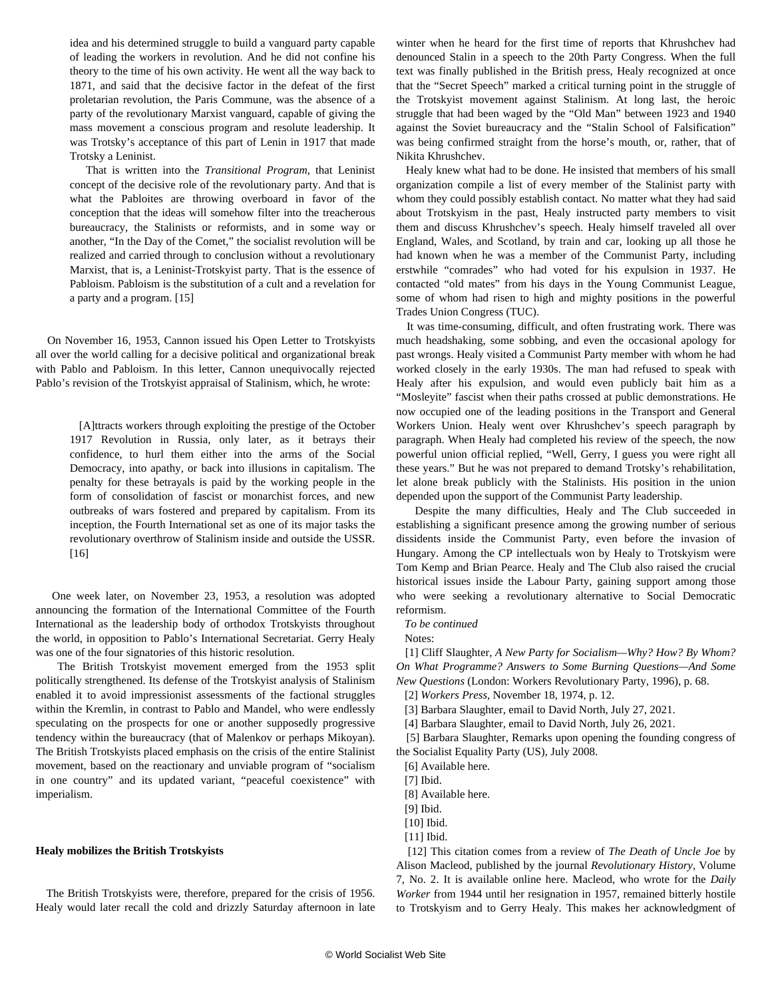idea and his determined struggle to build a vanguard party capable of leading the workers in revolution. And he did not confine his theory to the time of his own activity. He went all the way back to 1871, and said that the decisive factor in the defeat of the first proletarian revolution, the Paris Commune, was the absence of a party of the revolutionary Marxist vanguard, capable of giving the mass movement a conscious program and resolute leadership. It was Trotsky's acceptance of this part of Lenin in 1917 that made Trotsky a Leninist.

 That is written into the *Transitional Program,* that Leninist concept of the decisive role of the revolutionary party. And that is what the Pabloites are throwing overboard in favor of the conception that the ideas will somehow filter into the treacherous bureaucracy, the Stalinists or reformists, and in some way or another, "In the Day of the Comet," the socialist revolution will be realized and carried through to conclusion without a revolutionary Marxist, that is, a Leninist-Trotskyist party. That is the essence of Pabloism. Pabloism is the substitution of a cult and a revelation for a party and a program. [15]

 On November 16, 1953, Cannon issued his Open Letter to Trotskyists all over the world calling for a decisive political and organizational break with Pablo and Pabloism. In this letter, Cannon unequivocally rejected Pablo's revision of the Trotskyist appraisal of Stalinism, which, he wrote:

> [A]ttracts workers through exploiting the prestige of the October 1917 Revolution in Russia, only later, as it betrays their confidence, to hurl them either into the arms of the Social Democracy, into apathy, or back into illusions in capitalism. The penalty for these betrayals is paid by the working people in the form of consolidation of fascist or monarchist forces, and new outbreaks of wars fostered and prepared by capitalism. From its inception, the Fourth International set as one of its major tasks the revolutionary overthrow of Stalinism inside and outside the USSR. [16]

 One week later, on November 23, 1953, a resolution was adopted announcing the formation of the International Committee of the Fourth International as the leadership body of orthodox Trotskyists throughout the world, in opposition to Pablo's International Secretariat. Gerry Healy was one of the four signatories of this historic resolution.

 The British Trotskyist movement emerged from the 1953 split politically strengthened. Its defense of the Trotskyist analysis of Stalinism enabled it to avoid impressionist assessments of the factional struggles within the Kremlin, in contrast to Pablo and Mandel, who were endlessly speculating on the prospects for one or another supposedly progressive tendency within the bureaucracy (that of Malenkov or perhaps Mikoyan). The British Trotskyists placed emphasis on the crisis of the entire Stalinist movement, based on the reactionary and unviable program of "socialism in one country" and its updated variant, "peaceful coexistence" with imperialism.

#### **Healy mobilizes the British Trotskyists**

 The British Trotskyists were, therefore, prepared for the crisis of 1956. Healy would later recall the cold and drizzly Saturday afternoon in late winter when he heard for the first time of reports that Khrushchev had denounced Stalin in a speech to the 20th Party Congress. When the full text was finally published in the British press, Healy recognized at once that the "Secret Speech" marked a critical turning point in the struggle of the Trotskyist movement against Stalinism. At long last, the heroic struggle that had been waged by the "Old Man" between 1923 and 1940 against the Soviet bureaucracy and the "Stalin School of Falsification" was being confirmed straight from the horse's mouth, or, rather, that of Nikita Khrushchev.

 Healy knew what had to be done. He insisted that members of his small organization compile a list of every member of the Stalinist party with whom they could possibly establish contact. No matter what they had said about Trotskyism in the past, Healy instructed party members to visit them and discuss Khrushchev's speech. Healy himself traveled all over England, Wales, and Scotland, by train and car, looking up all those he had known when he was a member of the Communist Party, including erstwhile "comrades" who had voted for his expulsion in 1937. He contacted "old mates" from his days in the Young Communist League, some of whom had risen to high and mighty positions in the powerful Trades Union Congress (TUC).

 It was time-consuming, difficult, and often frustrating work. There was much headshaking, some sobbing, and even the occasional apology for past wrongs. Healy visited a Communist Party member with whom he had worked closely in the early 1930s. The man had refused to speak with Healy after his expulsion, and would even publicly bait him as a "Mosleyite" fascist when their paths crossed at public demonstrations. He now occupied one of the leading positions in the Transport and General Workers Union. Healy went over Khrushchev's speech paragraph by paragraph. When Healy had completed his review of the speech, the now powerful union official replied, "Well, Gerry, I guess you were right all these years." But he was not prepared to demand Trotsky's rehabilitation, let alone break publicly with the Stalinists. His position in the union depended upon the support of the Communist Party leadership.

 Despite the many difficulties, Healy and The Club succeeded in establishing a significant presence among the growing number of serious dissidents inside the Communist Party, even before the invasion of Hungary. Among the CP intellectuals won by Healy to Trotskyism were Tom Kemp and Brian Pearce. Healy and The Club also raised the crucial historical issues inside the Labour Party, gaining support among those who were seeking a revolutionary alternative to Social Democratic reformism.

#### *To be continued*

Notes:

 [1] Cliff Slaughter, *A New Party for Socialism—Why? How? By Whom? On What Programme? Answers to Some Burning Questions—And Some*

*New Questions* (London: Workers Revolutionary Party, 1996), p. 68.

[2] *Workers Press,* November 18, 1974, p. 12.

[3] Barbara Slaughter, email to David North, July 27, 2021.

[4] Barbara Slaughter, email to David North, July 26, 2021.

 [5] Barbara Slaughter, Remarks upon opening the founding congress of the Socialist Equality Party (US), July 2008.

- [10] Ibid.
- [11] Ibid.

 [12] This citation comes from a review of *The Death of Uncle Joe* by Alison Macleod, published by the journal *Revolutionary History*, Volume 7, No. 2. [It is available online here](https://www.marxists.org/history/etol/revhist/backiss/vol7/no2/heisler.html). Macleod, who wrote for the *Daily Worker* from 1944 until her resignation in 1957, remained bitterly hostile to Trotskyism and to Gerry Healy. This makes her acknowledgment of

<sup>[6]</sup> [Available here.](https://www.marxists.org/archive/khrushchev/1956/02/24.htm)

 <sup>[7]</sup> Ibid.

<sup>[8]</sup> [Available here.](https://www.marxists.org/archive/fryer/1956/dec/introduction.htm)

 <sup>[9]</sup> Ibid.